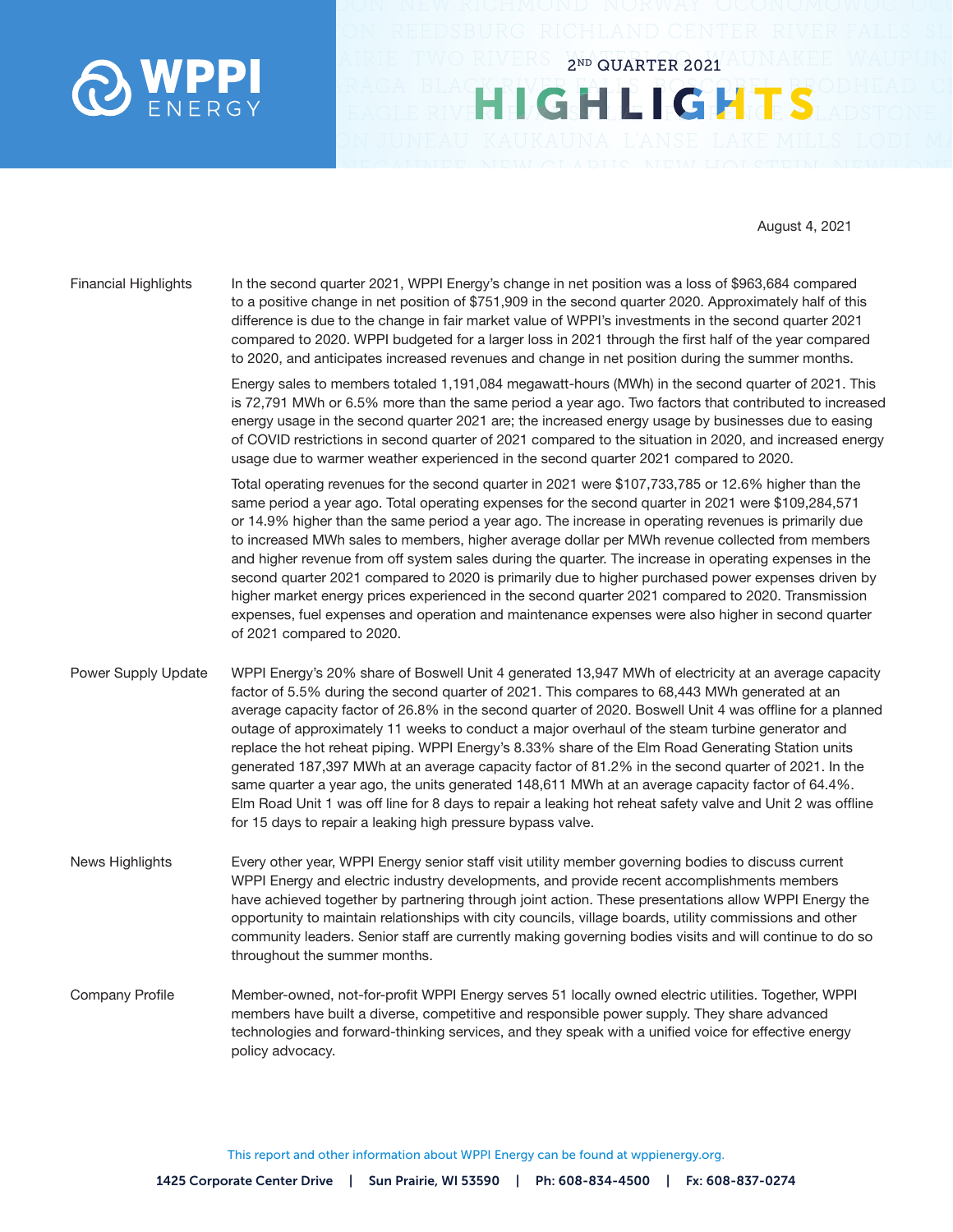

August 4, 2021

Financial Highlights In the second quarter 2021, WPPI Energy's change in net position was a loss of \$963,684 compared to a positive change in net position of \$751,909 in the second quarter 2020. Approximately half of this difference is due to the change in fair market value of WPPI's investments in the second quarter 2021 compared to 2020. WPPI budgeted for a larger loss in 2021 through the first half of the year compared to 2020, and anticipates increased revenues and change in net position during the summer months.

> Energy sales to members totaled 1,191,084 megawatt-hours (MWh) in the second quarter of 2021. This is 72,791 MWh or 6.5% more than the same period a year ago. Two factors that contributed to increased energy usage in the second quarter 2021 are; the increased energy usage by businesses due to easing of COVID restrictions in second quarter of 2021 compared to the situation in 2020, and increased energy usage due to warmer weather experienced in the second quarter 2021 compared to 2020.

2ND QUARTER 2021

HIGHLIGHT

Total operating revenues for the second quarter in 2021 were \$107,733,785 or 12.6% higher than the same period a year ago. Total operating expenses for the second quarter in 2021 were \$109,284,571 or 14.9% higher than the same period a year ago. The increase in operating revenues is primarily due to increased MWh sales to members, higher average dollar per MWh revenue collected from members and higher revenue from off system sales during the quarter. The increase in operating expenses in the second quarter 2021 compared to 2020 is primarily due to higher purchased power expenses driven by higher market energy prices experienced in the second quarter 2021 compared to 2020. Transmission expenses, fuel expenses and operation and maintenance expenses were also higher in second quarter of 2021 compared to 2020.

Power Supply Update WPPI Energy's 20% share of Boswell Unit 4 generated 13,947 MWh of electricity at an average capacity factor of 5.5% during the second quarter of 2021. This compares to 68,443 MWh generated at an average capacity factor of 26.8% in the second quarter of 2020. Boswell Unit 4 was offline for a planned outage of approximately 11 weeks to conduct a major overhaul of the steam turbine generator and replace the hot reheat piping. WPPI Energy's 8.33% share of the Elm Road Generating Station units generated 187,397 MWh at an average capacity factor of 81.2% in the second quarter of 2021. In the same quarter a year ago, the units generated 148,611 MWh at an average capacity factor of 64.4%. Elm Road Unit 1 was off line for 8 days to repair a leaking hot reheat safety valve and Unit 2 was offline for 15 days to repair a leaking high pressure bypass valve.

News Highlights Every other year, WPPI Energy senior staff visit utility member governing bodies to discuss current WPPI Energy and electric industry developments, and provide recent accomplishments members have achieved together by partnering through joint action. These presentations allow WPPI Energy the opportunity to maintain relationships with city councils, village boards, utility commissions and other community leaders. Senior staff are currently making governing bodies visits and will continue to do so throughout the summer months.

Company Profile Member-owned, not-for-profit WPPI Energy serves 51 locally owned electric utilities. Together, WPPI members have built a diverse, competitive and responsible power supply. They share advanced technologies and forward-thinking services, and they speak with a unified voice for effective energy policy advocacy.

This report and other information about WPPI Energy can be found at wppienergy.org.